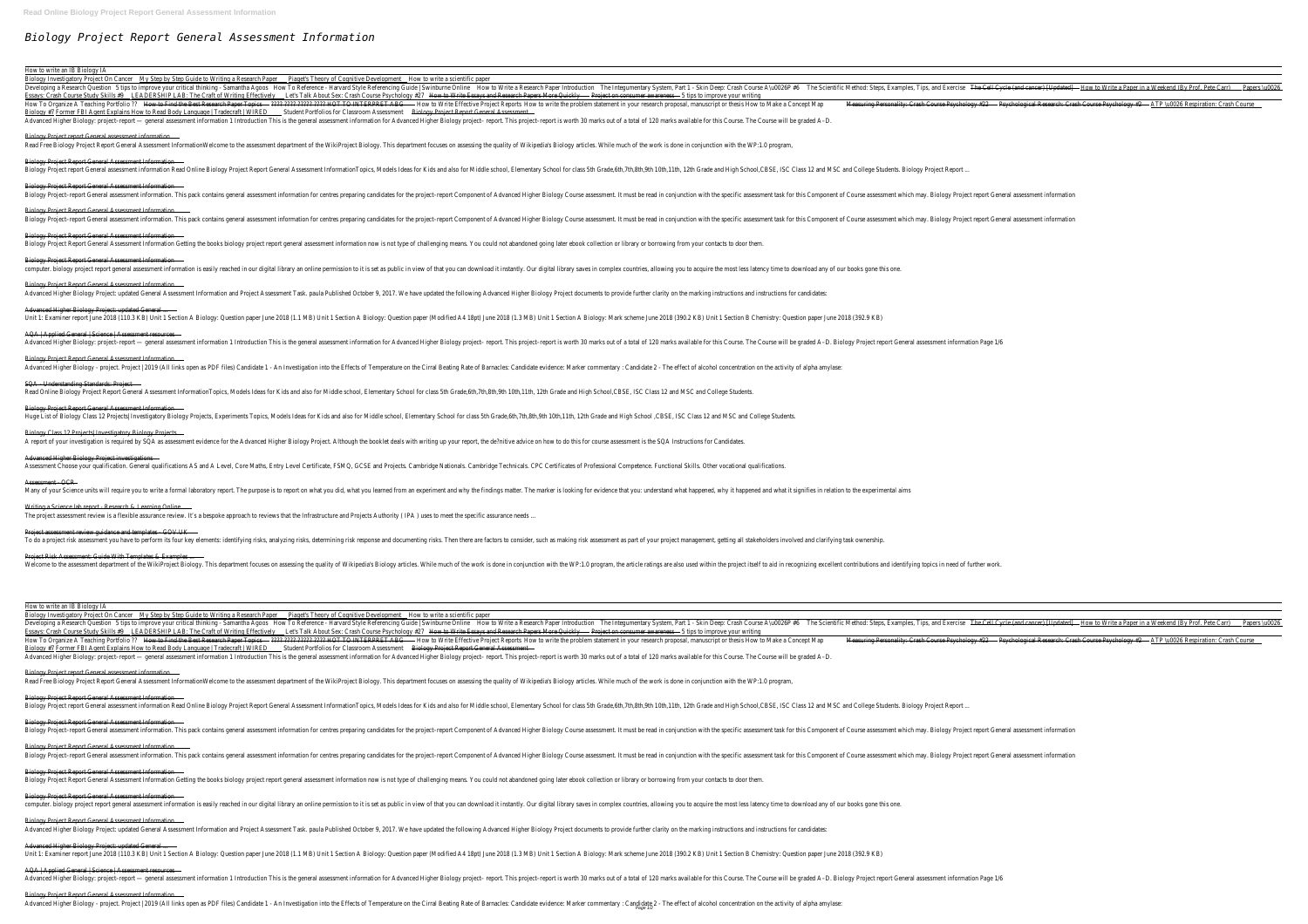# *Biology Project Report General Assessment Information*

#### How to write an IB Biology IA

#### Biology Project Report General Assessment Information

#### Biology Project Report General Assessment Information ...

# Biology Project Report General Assessment Information

## Biology Project Report General Assessment Information

#### Biology Project Report General Assessment Information

# Advanced Higher Biology Project: updated General ...

# AQA | Applied General | Science | Assessment resources

Biology Project Report General Assessment Information Biology Project report General assessment information Read Online Biology Project Report General Assessment InformationTopics, Models Ideas for Kids and also for Middle school, Elementary School for class 5th Grade,6th,7th

## Biology Project Report General Assessment Information

#### SQA - Understanding Standards: Project

Biology Project Report General Assessment Information Biology Project Report General Assessment Information Getting the books biology project report general assessment information now is not type of challenging means. You could not abandoned going later ebook collection or li

# Biology Project Report General Assessment Information

### Advanced Higher Biology Project investigations

#### Assessment - OCR

## Writing a Science lab report - Research & Learning Online

#### Project Risk Assessment: Guide With Templates & Examples ...

How to write an IB Biology IA

| Biology Investigatory Project On Cancer     | <u>My Step by Step Guide to Writing a Research Paper</u>                                                                                                                                                                      | <b>Piaget's Theory of Cognitive Development Solution</b> How to write a scientific paper |                                                                                                                                         |                                            |                                                                  |  |
|---------------------------------------------|-------------------------------------------------------------------------------------------------------------------------------------------------------------------------------------------------------------------------------|------------------------------------------------------------------------------------------|-----------------------------------------------------------------------------------------------------------------------------------------|--------------------------------------------|------------------------------------------------------------------|--|
| Developing a Research Question              | 5 tips to improve your critical thinking - Samantha Agoos                                                                                                                                                                     | How To Reference - Harvard Style Referencing Guide   Swinburne Online                    |                                                                                                                                         | How to Write a Research Paper Introduction | The Integumentary System, Part 1 - Skin Deep: Crash Course A\u00 |  |
| <b>Essays: Crash Course Study Skills #9</b> | <b>LEADERSHIP LAB: The Craft of Writing Effectively</b>                                                                                                                                                                       | Let's Talk About Sex: Crash Course Psychology #27                                        | How to Write Essays and Research Papers More Quickly                                                                                    |                                            | - Project on consumer awareness - 5 tips to improve your writing |  |
| How To Organize A Teaching Portfolio ??     | How to Find the Best Research Paper Topics                                                                                                                                                                                    | – ???? ???? ????? ???? HOT TO INTERPRET ABG                                              | - How to Write Effective Project Reports How to write the problem statement in your research proposal, manuscript or thesis How to Make |                                            |                                                                  |  |
|                                             | Biology #7 Former FBI Agent Explains How to Read Body Language   Tradecraft   WIRED                                                                                                                                           | Student Portfolios for Classroom Assessment                                              | Biology Project Report General Assessment                                                                                               |                                            |                                                                  |  |
|                                             | Advanced Higher Biology: project-report - general assessment information 1 Introduction This is the general assessment information for Advanced Higher Biology project-report. This project-report is worth 30 marks out of a |                                                                                          |                                                                                                                                         |                                            |                                                                  |  |

#### Biology Project report General assessment information

Read Free Biology Project Report General Assessment InformationWelcome to the assessment department of the WikiProject Biology. This department focuses on assessing the quality of Wikipedia's Biology articles. While much o

#### Biology Project Report General Assessment Information

Biology Project-report General assessment information. This pack contains general assessment information for centres preparing candidates for the project-report Component of Advanced Higher Biology Course assessment task f

# Biology Project Report General Assessment Information ...

## Biology Project Report General Assessment Information

computer. biology project report general assessment information is easily reached in our digital library an online permission to it is set as public in view of that you can download it instantly. Our digital library saves

### Biology Project Report General Assessment Information

Advanced Higher Biology Project: updated General Assessment Information and Project Assessment Task. paula Published October 9, 2017. We have updated the following Advanced Higher Biology Project documents to provide furth

#### Advanced Higher Biology Project: updated General ...

Unit 1: Examiner report June 2018 (110.3 KB) Unit 1 Section A Biology: Question paper June 2018 (1.1 MB) Unit 1 Section A Biology: Question paper (Modified A4 18pt) June 2018 (1.3 MB) Unit 1 Section A Biology: Mark scheme

# AQA | Applied General | Science | Assessment resources

Advanced Higher Biology: project-report — general assessment information 1 Introduction This is the general assessment information This is the general assessment information for Advanced Higher Biology project-report. This

## Biology Project Report General Assessment Information

Advanced Higher Biology - project. Project | 2019 (All links open as PDF files) Candidate 1 - An Investigation into the Effects of Temperature on the Cirral Beating Rate of Barnacles: Candidate evidence: Marker commentary

| The Integumentary System, Part 1 - Skin Deep: Crash Course A\u0026P #6<br>The Scientific Method: Steps, Examples, Tips, and Exercise<br>The Cell Cycle (and cancer) [Updated]<br>5 tips to improve your critical thinking - Samantha Agoos<br>How To Reference - Harvard Style Referencing Guide   Swinburne Online<br>How to Write a Research Paper Introduction<br>- How to Write a Paper in a Weekend (By Prof. Pete Carr)<br>Papers \u0026<br>Developing a Research Question<br>Essays: Crash Course Study Skills #9<br>LEADERSHIP LAB: The Craft of Writing Effectively<br>Let's Talk About Sex: Crash Course Psychology #27<br>How to Write Essays and Research Papers More Quickly<br>- Project on consumer awareness - 5 tips to improve your writing<br>- 2222-2222-22222-2222 HOT TO INTERPRET ABG<br>How To Organize A Teaching Portfolio ??<br>How to Find the Best Research Paper Topics<br>Measuring Personality: Crash Course Psychology #22<br>- Psychological Research: Crash Course Psychology #2<br>- ATP \u0026 Respiration: Crash Course<br>How to Write Effective Project Reports How to write the problem statement in your research proposal, manuscript or thesis How to Make a Concept Map<br><u>Biology #7 Former FBI Agent Explains How to Read Body Language   Tradecraft   WIRED</u><br>Student Portfolios for Classroom Assessment<br>Biology Project Report General Assessment<br>Advanced Higher Biology: project-report — general assessment information 1 Introduction This is the general assessment information for Advanced Higher Biology project-report. This project-report is worth 30 marks out of a |
|-------------------------------------------------------------------------------------------------------------------------------------------------------------------------------------------------------------------------------------------------------------------------------------------------------------------------------------------------------------------------------------------------------------------------------------------------------------------------------------------------------------------------------------------------------------------------------------------------------------------------------------------------------------------------------------------------------------------------------------------------------------------------------------------------------------------------------------------------------------------------------------------------------------------------------------------------------------------------------------------------------------------------------------------------------------------------------------------------------------------------------------------------------------------------------------------------------------------------------------------------------------------------------------------------------------------------------------------------------------------------------------------------------------------------------------------------------------------------------------------------------------------------------------------------------------------------------------------------------------------------------------------------|
|                                                                                                                                                                                                                                                                                                                                                                                                                                                                                                                                                                                                                                                                                                                                                                                                                                                                                                                                                                                                                                                                                                                                                                                                                                                                                                                                                                                                                                                                                                                                                                                                                                                 |
|                                                                                                                                                                                                                                                                                                                                                                                                                                                                                                                                                                                                                                                                                                                                                                                                                                                                                                                                                                                                                                                                                                                                                                                                                                                                                                                                                                                                                                                                                                                                                                                                                                                 |
|                                                                                                                                                                                                                                                                                                                                                                                                                                                                                                                                                                                                                                                                                                                                                                                                                                                                                                                                                                                                                                                                                                                                                                                                                                                                                                                                                                                                                                                                                                                                                                                                                                                 |
|                                                                                                                                                                                                                                                                                                                                                                                                                                                                                                                                                                                                                                                                                                                                                                                                                                                                                                                                                                                                                                                                                                                                                                                                                                                                                                                                                                                                                                                                                                                                                                                                                                                 |
| Biology Project report General assessment information                                                                                                                                                                                                                                                                                                                                                                                                                                                                                                                                                                                                                                                                                                                                                                                                                                                                                                                                                                                                                                                                                                                                                                                                                                                                                                                                                                                                                                                                                                                                                                                           |
| Read Free Biology Project Report General Assessment InformationWelcome to the assessment department of the WikiProject Biology. This department focuses on assessing the quality of Wikipedia's Biology articles. While much o                                                                                                                                                                                                                                                                                                                                                                                                                                                                                                                                                                                                                                                                                                                                                                                                                                                                                                                                                                                                                                                                                                                                                                                                                                                                                                                                                                                                                  |
| Biology Project Report General Assessment Information                                                                                                                                                                                                                                                                                                                                                                                                                                                                                                                                                                                                                                                                                                                                                                                                                                                                                                                                                                                                                                                                                                                                                                                                                                                                                                                                                                                                                                                                                                                                                                                           |
| Biology Project report General assessment information Read Online Biology Project Report General Assessment InformationTopics, Models Ideas for Kids and also for Middle school, Elementary School for class 5th Grade,6th,7th                                                                                                                                                                                                                                                                                                                                                                                                                                                                                                                                                                                                                                                                                                                                                                                                                                                                                                                                                                                                                                                                                                                                                                                                                                                                                                                                                                                                                  |
| Biology Project Report General Assessment Information                                                                                                                                                                                                                                                                                                                                                                                                                                                                                                                                                                                                                                                                                                                                                                                                                                                                                                                                                                                                                                                                                                                                                                                                                                                                                                                                                                                                                                                                                                                                                                                           |
| Biology Project-report General assessment information. This pack contains general assessment information for centres preparing candidates for the project-report Component of Advanced Higher Biology Course assessment task f                                                                                                                                                                                                                                                                                                                                                                                                                                                                                                                                                                                                                                                                                                                                                                                                                                                                                                                                                                                                                                                                                                                                                                                                                                                                                                                                                                                                                  |
| Biology Project Report General Assessment Information                                                                                                                                                                                                                                                                                                                                                                                                                                                                                                                                                                                                                                                                                                                                                                                                                                                                                                                                                                                                                                                                                                                                                                                                                                                                                                                                                                                                                                                                                                                                                                                           |
| Biology Project-report General assessment information. This pack contains general assessment information for centres preparing candidates for the project-report Component of Advanced Higher Biology Course assessment task f                                                                                                                                                                                                                                                                                                                                                                                                                                                                                                                                                                                                                                                                                                                                                                                                                                                                                                                                                                                                                                                                                                                                                                                                                                                                                                                                                                                                                  |
| Biology Project Report General Assessment Information                                                                                                                                                                                                                                                                                                                                                                                                                                                                                                                                                                                                                                                                                                                                                                                                                                                                                                                                                                                                                                                                                                                                                                                                                                                                                                                                                                                                                                                                                                                                                                                           |
| Biology Project Report General Assessment Information Getting the books biology project report general assessment information now is not type of challenging means. You could not abandoned going later ebook collection or li                                                                                                                                                                                                                                                                                                                                                                                                                                                                                                                                                                                                                                                                                                                                                                                                                                                                                                                                                                                                                                                                                                                                                                                                                                                                                                                                                                                                                  |
| Biology Project Report General Assessment Information                                                                                                                                                                                                                                                                                                                                                                                                                                                                                                                                                                                                                                                                                                                                                                                                                                                                                                                                                                                                                                                                                                                                                                                                                                                                                                                                                                                                                                                                                                                                                                                           |
| computer. biology project report general assessment information is easily reached in our digital library an online permission to it is set as public in view of that you can download it instantly. Our digital library saves                                                                                                                                                                                                                                                                                                                                                                                                                                                                                                                                                                                                                                                                                                                                                                                                                                                                                                                                                                                                                                                                                                                                                                                                                                                                                                                                                                                                                   |
| Biology Project Report General Assessment Information                                                                                                                                                                                                                                                                                                                                                                                                                                                                                                                                                                                                                                                                                                                                                                                                                                                                                                                                                                                                                                                                                                                                                                                                                                                                                                                                                                                                                                                                                                                                                                                           |
| Advanced Higher Biology Project: updated General Assessment Information and Project Assessment Task. paula Published October 9, 2017. We have updated the following Advanced Higher Biology Project documents to provide furth                                                                                                                                                                                                                                                                                                                                                                                                                                                                                                                                                                                                                                                                                                                                                                                                                                                                                                                                                                                                                                                                                                                                                                                                                                                                                                                                                                                                                  |
| Advanced Higher Biology Project: updated General                                                                                                                                                                                                                                                                                                                                                                                                                                                                                                                                                                                                                                                                                                                                                                                                                                                                                                                                                                                                                                                                                                                                                                                                                                                                                                                                                                                                                                                                                                                                                                                                |
| Unit 1: Examiner report June 2018 (110.3 KB) Unit 1 Section A Biology: Question paper June 2018 (1.1 MB) Unit 1 Section A Biology: Question paper (Modified A4 18pt) June 2018 (1.3 MB) Unit 1 Section A Biology: Mark scheme                                                                                                                                                                                                                                                                                                                                                                                                                                                                                                                                                                                                                                                                                                                                                                                                                                                                                                                                                                                                                                                                                                                                                                                                                                                                                                                                                                                                                   |
| AQA   Applied General   Science   Assessment resources                                                                                                                                                                                                                                                                                                                                                                                                                                                                                                                                                                                                                                                                                                                                                                                                                                                                                                                                                                                                                                                                                                                                                                                                                                                                                                                                                                                                                                                                                                                                                                                          |
| Advanced Higher Biology: project-report — general assessment information 1 Introduction This is the general assessment information for Advanced Higher Biology project-report is worth 30 marks out of a total of 120 marks av                                                                                                                                                                                                                                                                                                                                                                                                                                                                                                                                                                                                                                                                                                                                                                                                                                                                                                                                                                                                                                                                                                                                                                                                                                                                                                                                                                                                                  |
| Biology Project Report General Assessment Information                                                                                                                                                                                                                                                                                                                                                                                                                                                                                                                                                                                                                                                                                                                                                                                                                                                                                                                                                                                                                                                                                                                                                                                                                                                                                                                                                                                                                                                                                                                                                                                           |
| Advanced Higher Biology - project. Project   2019 (All links open as PDF files) Candidate 1 - An Investigation into the Effects of Temperature on the Cirral Beating Rate of Barnacles: Candidate evidence: Marker commentary                                                                                                                                                                                                                                                                                                                                                                                                                                                                                                                                                                                                                                                                                                                                                                                                                                                                                                                                                                                                                                                                                                                                                                                                                                                                                                                                                                                                                   |
| SQA Understanding Standards: Project                                                                                                                                                                                                                                                                                                                                                                                                                                                                                                                                                                                                                                                                                                                                                                                                                                                                                                                                                                                                                                                                                                                                                                                                                                                                                                                                                                                                                                                                                                                                                                                                            |
| Read Online Biology Project Report General Assessment InformationTopics, Models Ideas for Kids and also for Middle school, Elementary School for class 5th Grade,6th,7th,8th,9th 10th,11th, 12th Grade and High School,CBSE, I                                                                                                                                                                                                                                                                                                                                                                                                                                                                                                                                                                                                                                                                                                                                                                                                                                                                                                                                                                                                                                                                                                                                                                                                                                                                                                                                                                                                                  |
| Biology Project Report General Assessment Information                                                                                                                                                                                                                                                                                                                                                                                                                                                                                                                                                                                                                                                                                                                                                                                                                                                                                                                                                                                                                                                                                                                                                                                                                                                                                                                                                                                                                                                                                                                                                                                           |
| Huge List of Biology Class 12 Projects  Investigatory Biology Projects, Experiments Topics, Models Ideas for Kids and also for Middle school, Elementary School for class 5th Grade,6th,7th,8th,9th 10th,11th, 12th Grade and                                                                                                                                                                                                                                                                                                                                                                                                                                                                                                                                                                                                                                                                                                                                                                                                                                                                                                                                                                                                                                                                                                                                                                                                                                                                                                                                                                                                                   |
| Biology Class 12 Projects   Investigatory Biology Projects                                                                                                                                                                                                                                                                                                                                                                                                                                                                                                                                                                                                                                                                                                                                                                                                                                                                                                                                                                                                                                                                                                                                                                                                                                                                                                                                                                                                                                                                                                                                                                                      |
| A report of your investigation is required by SQA as assessment evidence for the Advanced Higher Biology Project. Although the booklet deals with writing up your report, the de?nitive advice on how to do this for course as                                                                                                                                                                                                                                                                                                                                                                                                                                                                                                                                                                                                                                                                                                                                                                                                                                                                                                                                                                                                                                                                                                                                                                                                                                                                                                                                                                                                                  |
| Advanced Higher Biology Project investigations                                                                                                                                                                                                                                                                                                                                                                                                                                                                                                                                                                                                                                                                                                                                                                                                                                                                                                                                                                                                                                                                                                                                                                                                                                                                                                                                                                                                                                                                                                                                                                                                  |
| Assessment Choose your qualification. General qualifications AS and A Level, Core Maths, Entry Level Certificate, FSMQ, GCSE and Projects. Cambridge Nationals. Cambridge Technicals. CPC Certificates of Professional Compete                                                                                                                                                                                                                                                                                                                                                                                                                                                                                                                                                                                                                                                                                                                                                                                                                                                                                                                                                                                                                                                                                                                                                                                                                                                                                                                                                                                                                  |
| Assessment - OCR                                                                                                                                                                                                                                                                                                                                                                                                                                                                                                                                                                                                                                                                                                                                                                                                                                                                                                                                                                                                                                                                                                                                                                                                                                                                                                                                                                                                                                                                                                                                                                                                                                |
| Many of your Science units will require you to write a formal laboratory report. The purpose is to report on what you did, what you learned from an experiment and why the findings matter. The marker is looking for evidence                                                                                                                                                                                                                                                                                                                                                                                                                                                                                                                                                                                                                                                                                                                                                                                                                                                                                                                                                                                                                                                                                                                                                                                                                                                                                                                                                                                                                  |
| Writing a Science lab report - Research & Learning Online                                                                                                                                                                                                                                                                                                                                                                                                                                                                                                                                                                                                                                                                                                                                                                                                                                                                                                                                                                                                                                                                                                                                                                                                                                                                                                                                                                                                                                                                                                                                                                                       |
| The project assessment review is a flexible assurance review. It's a bespoke approach to reviews that the Infrastructure and Projects Authority (IPA) uses to meet the specific assurance needs                                                                                                                                                                                                                                                                                                                                                                                                                                                                                                                                                                                                                                                                                                                                                                                                                                                                                                                                                                                                                                                                                                                                                                                                                                                                                                                                                                                                                                                 |
| Project assessment review guidance and templates - GOV.UK                                                                                                                                                                                                                                                                                                                                                                                                                                                                                                                                                                                                                                                                                                                                                                                                                                                                                                                                                                                                                                                                                                                                                                                                                                                                                                                                                                                                                                                                                                                                                                                       |
| To do a project risk assessment you have to perform its four key elements: identifying risks, analyzing risks, determining risk response and documenting risks. Then there are factors to consider, such as making risk assess                                                                                                                                                                                                                                                                                                                                                                                                                                                                                                                                                                                                                                                                                                                                                                                                                                                                                                                                                                                                                                                                                                                                                                                                                                                                                                                                                                                                                  |
| Project Risk Assessment: Guide With Templates & Examples                                                                                                                                                                                                                                                                                                                                                                                                                                                                                                                                                                                                                                                                                                                                                                                                                                                                                                                                                                                                                                                                                                                                                                                                                                                                                                                                                                                                                                                                                                                                                                                        |
| Disputy of Welcome to the assessment department of the WikiProject Biology. This department focuses on assessing the quality of Wikipedia's Biology articles. While much of the work is done in conjunction with the WP:1.0 pr                                                                                                                                                                                                                                                                                                                                                                                                                                                                                                                                                                                                                                                                                                                                                                                                                                                                                                                                                                                                                                                                                                                                                                                                                                                                                                                                                                                                                  |

o Write a Research Paper Introduction The Integumentary System, Part 1 - Skin Deep: Crash Course A\u0026P #6 The Scientific Method: Steps, Examples, Tips, and Exercise The Cell Cycle (and cancer) [Updated] — How to Write a Research Papers More Quickly **Concept Control** Project on consumer awareness 6 tips to improve your writing Reports How to write the problem statement in your research proposal, manuscript or thesis How to Make a Concept Map Measuring Personality: Crash Course Psychology #22 - Psychological Research: Crash Course Psychology #2 -

Biology Project-report General assessment information. This pack contains general assessment information Seneral assessment information for centres preparing candidates for the project-report Component of Advanced Higher B